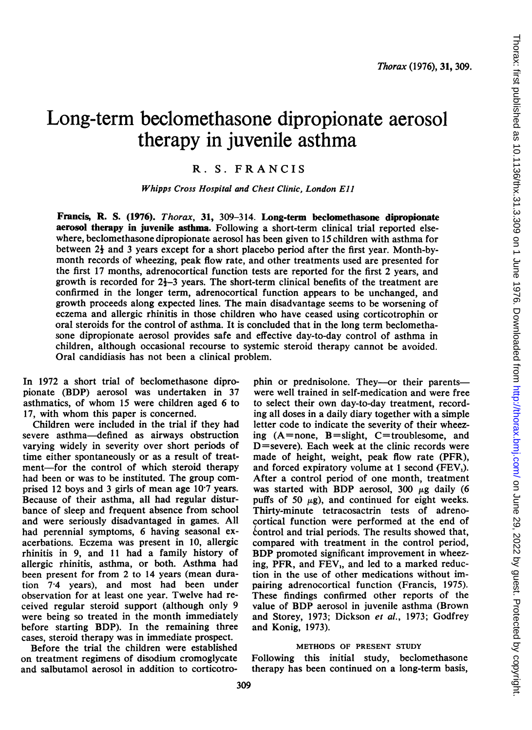# Long-term beclomethasone dipropionate aerosol therapy in juvenile asthma

# R. S. FRANCIS

Whipps Cross Hospital and Chest Clinic, London Eli

Francis, R. S. (1976). Thorax, 31, 309-314. Long-term beclomethasone dipropionate aerosol therapy in juvenile asthma. Following a short-term clinical trial reported elsewhere, beclomethasone dipropionate aerosol has been given to 15 children with asthma for between  $2\frac{1}{2}$  and 3 years except for a short placebo period after the first year. Month-bymonth records of wheezing, peak flow rate, and other treatments used are presented for the first 17 months, adrenocortical function tests are reported for the first 2 years, and growth is recorded for  $2<sub>1</sub>$ -3 years. The short-term clinical benefits of the treatment are confirmed in the longer term, adrenocortical function appears to be unchanged, and growth proceeds along expected lines. The main disadvantage seems to be worsening of eczema and allergic rhinitis in those children who have ceased using corticotrophin or oral steroids for the control of asthma. It is concluded that in the long term beclomethasone dipropionate aerosol provides safe and effective day-to-day control of asthma in children, although occasional recourse to systemic steroid therapy cannot be avoided. Oral candidiasis has not been a clinical problem.

In 1972 a short trial of beclomethasone dipropionate (BDP) aerosol was undertaken in 37 asthmatics, of whom <sup>15</sup> were children aged 6 to 17, with whom this paper is concerned.

Children were included in the trial if they had severe asthma-defined as airways obstruction varying widely in severity over short periods of time either spontaneously or as a result of treatment-for the control of which steroid therapy had been or was to be instituted. The group comprised 12 boys and <sup>3</sup> girls of mean age 10-7 years. Because of their asthma, all had regular disturbance of sleep and frequent absence from school and were seriously disadvantaged in games. All had perennial symptoms, 6 having seasonal exacerbations. Eczema was present in 10, allergic rhinitis in 9, and <sup>11</sup> had a family history of allergic rhinitis, asthma, or both. Asthma had been present for from 2 to 14 years (mean duration 7-4 years), and most had been under observation for at least one year. Twelve had received regular steroid support (although only 9 were being so treated in the month immediately before starting BDP). In the remaining three cases, steroid therapy was in immediate prospect.

Before the trial the children were established on treatment regimens of disodium cromoglycate and salbutamol aerosol in addition to corticotro-

phin or prednisolone. They-or their parentswere well trained in self-medication and were free to select their own day-to-day treatment, recording all doses in a daily diary together with a simple letter code to indicate the severity of their wheezing  $(A=none, B=slight, C=troublesome, and$ D=severe). Each week at the clinic records were made of height, weight, peak flow rate (PFR), and forced expiratory volume at 1 second  $(FEV<sub>1</sub>)$ . After a control period of one month, treatment was started with BDP aerosol,  $300 \mu$ g daily (6 puffs of 50  $\mu$ g), and continued for eight weeks. Thirty-minute tetracosactrin tests of adrenocortical function were performed at the end of control and trial periods. The results showed that, compared with treatment in the control period, BDP promoted significant improvement in wheezing, PFR, and FEV,, and led to a marked reduction in the use of other medications without impairing adrenocortical function (Francis, 1975). These findings confirmed other reports of the value of BDP aerosol in juvenile asthma (Brown and Storey, 1973; Dickson et al., 1973; Godfrey and Konig, 1973).

#### METHODS OF PRESENT STUDY

Following this initial study, beclomethasone therapy has been continued on a long-term basis,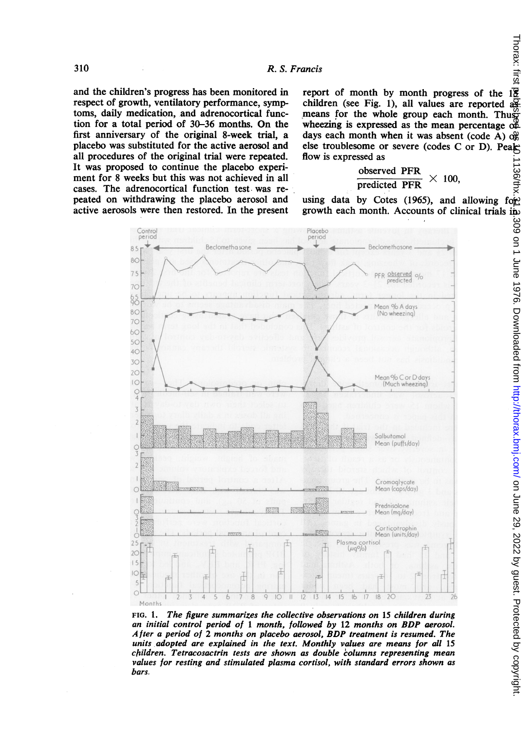and the children's progress has been monitored in respect of growth, ventilatory performance, symptoms, daily medication, and adrenocortical function for a total period of 30-36 months. On the first anniversary of the original 8-week trial, a placebo was substituted for the active aerosol and all procedures of the original trial were repeated. It was proposed to continue the placebo experiment for 8 weeks but this was not achieved in all cases. The adrenocortical function test. was repeated on withdrawing the placebo aerosol and active aerosols were then restored. In the present report of month by month progress of the  $1\overline{5}$ children (see Fig. 1), all values are reported  $a\overline{f}$ means for the whole group each month. Thus, wheezing is expressed as the mean percentage of days each month when it was absent (code A) of else troublesome or severe (codes C or D). Peak flow is expressed as

# observed PFR  $\frac{11}{\text{predicted PFR}} \times 100$ ,

using data by Cotes (1965), and allowing for growth each month. Accounts of clinical trials in



FIG. 1. The figure summarizes the collective observations on 15 children during an initial control period of <sup>1</sup> month, followed by <sup>12</sup> months on BDP aerosol. After a period of <sup>2</sup> months on placebo aerosol, BDP treatment is resumed. The units adopted are explained in the text. Monthly values are means for all 15  $children.$  Tetracosactrin tests are shown as double columns representing mean values for resting and stimulated plasma cortisol, with standard errors shown as bars.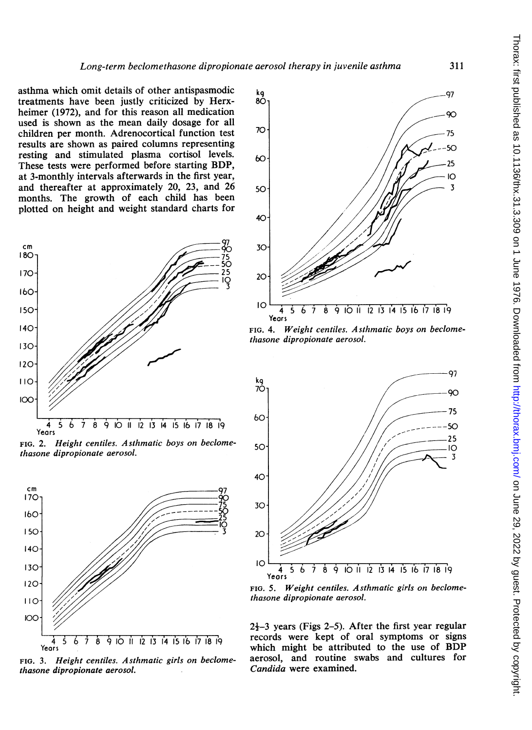asthma which omit details of other antispasmodic treatments have been justly criticized by Herxheimer (1972), and for this reason all medication used is shown as the mean daily dosage for all children per month. Adrenocortical function test results are shown as paired columns representing resting and stimulated plasma cortisol levels. These tests were performed before starting BDP, at 3-monthly intervals afterwards in the first year, and thereafter at approximately 20, 23, and 26 months. The growth of each child has been plotted on height and weight standard charts for



FIG. 2. Height centiles. Asthmatic boys on beclomethasone dipropionate aerosol.



FIG. 3. Height centiles. Asthmatic girls on beclomethasone dipropionate aerosol.



FIG. 4. Weight centiles. Asthmatic boys on beclomethasone dipropionate aerosol.



FIG. 5. Weight centiles. Asthmatic girls on beclomethasone dipropionate aerosol.

 $2\frac{1}{2}$ -3 years (Figs 2-5). After the first year regular records were kept of oral symptoms or signs which might be attributed to the use of BDP aerosol, and routine swabs and cultures for Candida were examined.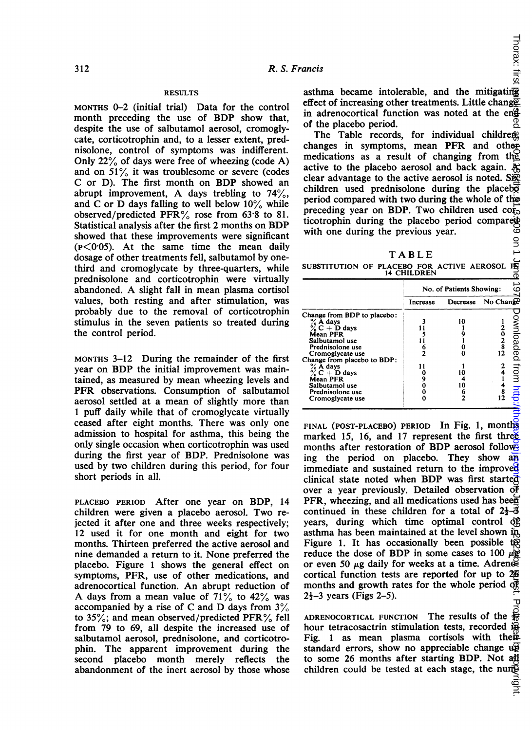#### RESULTS

MONTHS 0-2 (initial trial) Data for the control month preceding the use of BDP show that, despite the use of salbutamol aerosol, cromoglycate, corticotrophin and, to a lesser extent, prednisolone, control of symptoms was indifferent. Only 22% of days were free of wheezing (code A) and on 51% it was troublesome or severe (codes C or D). The first month on BDP showed an abrupt improvement, A days trebling to  $74\%$ , and C or D days falling to well below  $10\%$  while observed/predicted PFR% rose from 63-8 to 81. Statistical analysis after the first <sup>2</sup> months on BDP showed that these improvements were significant  $(P<0.05)$ . At the same time the mean daily dosage of other treatments fell, salbutamol by onethird and cromoglycate by three-quarters, while prednisolone and corticotrophin were virtually abandoned. A slight fall in mean plasma cortisol values, both resting and after stimulation, was probably due to the removal of corticotrophin stimulus in the seven patients so treated during the control period.

MONTHS 3-12 During the remainder of the first year on BDP the initial improvement was maintained, as measured by mean wheezing levels and PFR observations. Consumption of salbutamol aerosol settled at a mean of slightly more than <sup>1</sup> puff daily while that of cromoglycate virtually ceased after eight months. There was only one admission to hospital for asthma, this being the only single occasion when corticotrophin was used during the first year of BDP. Prednisolone was used by two children during this period, for four short periods in all.

PLACEBO PERIOD After one year on BDP, 14 children were given a placebo aerosol. Two rejected it after one and three weeks respectively; 12 used it for one month and eight for two months. Thirteen preferred the active aerosol and nine demanded a return to it. None preferred the placebo. Figure <sup>1</sup> shows the general effect on symptoms, PFR, use of other medications, and adrenocortical function. An abrupt reduction of A days from a mean value of  $71\%$  to  $42\%$  was accompanied by <sup>a</sup> rise of C and D days from 3% to  $35\%$ ; and mean observed/predicted PFR% fell from 79 to 69, all despite the increased use of salbutamol aerosol, prednisolone, and corticotrophin. The apparent improvement during the second placebo month merely reflects the abandonment of the inert aerosol by those whose

asthma became intolerable, and the mitigating effect of increasing other treatments. Little change in adrenocortical function was noted at the endof the placebo period. ዌ

The Table records, for individual children, changes in symptoms, mean PFR and other medications as a result of changing from the active to the placebo aerosol and back again. A clear advantage to the active aerosol is noted. Si $\hat{x}$ children used prednisolone during the placeb $\overline{\phi}$ period compared with two during the whole of the preceding year on BDP. Two children used  $co<sub>to</sub>$ ticotrophin during the placebo period compared<br>with one during the previous year.<br> $\frac{6}{5}$ <br> $\frac{1}{2}$ with one during the previous year.

TABLE

SUBSTITUTION OF PLACEBO FOR ACTIVE AEROSOL IS

|                                                                                                                                                                                                                                                                         | No. of Patients Showing:<br>ဖ |                     |                                               |
|-------------------------------------------------------------------------------------------------------------------------------------------------------------------------------------------------------------------------------------------------------------------------|-------------------------------|---------------------|-----------------------------------------------|
|                                                                                                                                                                                                                                                                         | Increase                      | Decrease            | No Change                                     |
| Change from BDP to placebo:<br>% A days<br>$\zeta$ C + D days<br>Mean PFR<br>Salbutamol use<br>Prednisolone use<br>Cromoglycate use<br>Change from placebo to BDP:<br>% A days<br>$\%$ C + D days<br>Mean PFR<br>Salbutamol use<br>Prednisolone use<br>Cromoglycate use |                               | 10<br>10<br>10<br>6 | pepeoluwo<br>$\frac{2}{8}$<br>12<br>trom<br>8 |

FINAL (POST-PLACEBO) PERIOD In Fig. 1, months marked 15, 16, and 17 represent the first three months after restoration of BDP aerosol following the period on placebo. They show  $a\overline{a}$ immediate and sustained return to the improved clinical state noted when BDP was first started over a year previously. Detailed observation of PFR, wheezing, and all medications used has been continued in these children for a total of  $2\frac{1}{2}$ -3 years, during which time optimal control of asthma has been maintained at the level shown in Figure 1. It has occasionally been possible  $t\tilde{R}$ reduce the dose of BDP in some cases to 100  $\mu$ or even 50  $\mu$ g daily for weeks at a time. Adrenocortical function tests are reported for up to 26 months and growth rates for the whole period  $\vec{q}$  $2\frac{1}{2}-3$  years (Figs 2-5). on Shang Hero And Hero Shang Copyright and And Copyright. Thus the second to published as 10.1136. Downloaded from the second from the second term of the second term of the second from the second from the second from the

ADRENOCORTICAL FUNCTION The results of the  $\frac{1}{36}$ hour tetracosactrin stimulation tests, recorded in Fig. 1 as mean plasma cortisols with the  $\frac{1}{2}$ standard errors, show no appreciable change  $u\overline{v}$ to some 26 months after starting BDP. Not all children could be tested at each stage, the numerical

Thorax: first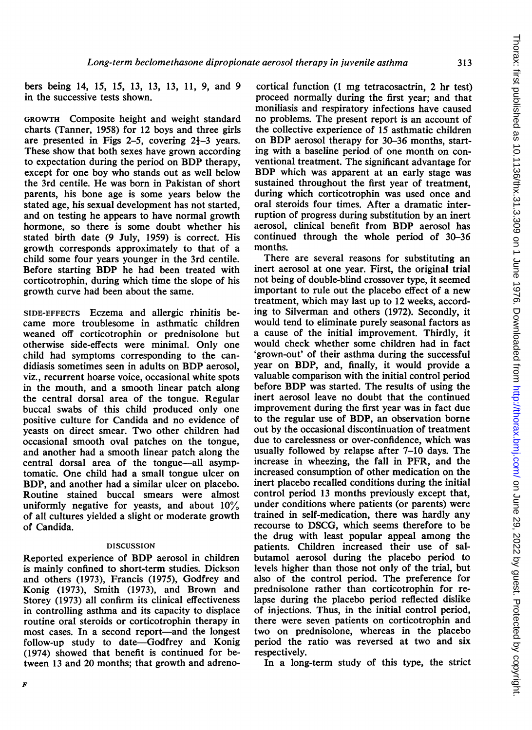bers being 14, 15, 15, 13, 13, 13, 11, 9, and <sup>9</sup> in the successive tests shown.

GROWTH Composite height and weight standard charts (Tanner, 1958) for 12 boys and three girls are presented in Figs 2-5, covering  $2\frac{1}{2}$ -3 years. These show that both sexes have grown according to expectation during the period on BDP therapy, except for one boy who stands out as well below the 3rd centile. He was born in Pakistan of short parents, his bone age is some years below the stated age, his sexual development has not started, and on testing he appears to have normal growth hormone, so there is some doubt whether his stated birth date (9 July, 1959) is correct. His growth corresponds approximately to that of a child some four years younger in the 3rd centile. Before starting BDP he had been treated with corticotrophin, during which time the slope of his growth curve had been about the same.

SIDE-EFFECTS Eczema and allergic rhinitis became more troublesome in asthmatic children weaned off corticotrophin or prednisolone but otherwise side-effects were minimal. Only one child had symptoms corresponding to the candidiasis sometimes seen in adults on BDP aerosol, viz., recurrent hoarse voice, occasional white spots in the mouth, and a smooth linear patch along the central dorsal area of the tongue. Regular buccal swabs of this child produced only one positive culture for Candida and no evidence of yeasts on direct smear. Two other children had occasional smooth oval patches on the tongue, and another had a smooth linear patch along the central dorsal area of the tongue-all asymptomatic. One child had a small tongue ulcer on BDP, and another had a similar ulcer on placebo. Routine stained buccal smears were almost uniformly negative for yeasts, and about 10% of all cultures yielded a slight or moderate growth of Candida.

## **DISCUSSION**

Reported experience of BDP aerosol in children is mainly confined to short-term studies. Dickson and others (1973), Francis (1975), Godfrey and Konig (1973), Smith (1973), and Brown and Storey (1973) all confirm its clinical effectiveness in controlling asthma and its capacity to displace routine oral steroids or corticotrophin therapy in most cases. In a second report—and the longest follow-up study to date-Godfrey and Konig (1974) showed that benefit is continued for between 13 and 20 months; that growth and adreno-

cortical function (1 mg tetracosactrin, 2 hr test) proceed normally during the first year; and that moniliasis and respiratory infections have caused no problems. The present report is an account of the collective experience of 15 asthmatic children on BDP aerosol therapy for 30-36 months, starting with a baseline period of one month on conventional treatment. The significant advantage for BDP which was apparent at an early stage was sustained throughout the first year of treatment, during which corticotrophin was used once and oral steroids four times. After a dramatic interruption of progress during substitution by an inert aerosol, clinical benefit from BDP aerosol has continued through the whole period of 30-36 months.

There are several reasons for substituting an inert aerosol at one year. First, the original trial not being of double-blind crossover type, it seemed important to rule out the placebo effect of a new treatment, which may last up to 12 weeks, according to Silverman and others (1972). Secondly, it would tend to eliminate purely seasonal factors as a cause of the initial improvement. Thirdly, it would check whether some children had in fact 'grown-out' of their asthma during the successful year on BDP, and, finally, it would provide a valuable comparison with the initial control period before BDP was started. The results of using the inert aerosol leave no doubt that the continued improvement during the first year was in fact due to the regular use of BDP, an observation borne out by the occasional discontinuation of treatment due to carelessness or over-confidence, which was usually followed by relapse after 7-10 days. The increase in wheezing, the fall in PFR, and the increased consumption of other medication on the inert placebo recalled conditions during the initial control period 13 months previously except that, under conditions where patients (or parents) were trained in self-medication, there was hardly any recourse to DSCG, which seems therefore to be the drug with least popular appeal among the patients. Children increased their use of salbutamol aerosol during the placebo period to levels higher than those not only of the trial, but also of the control period. The preference for prednisolone rather than corticotrophin for relapse during the placebo period reflected dislike of injections. Thus, in the initial control period, there were seven patients on corticotrophin and two on prednisolone, whereas in the placebo period the ratio was reversed at two and six respectively.

In a long-term study of this type, the strict

313